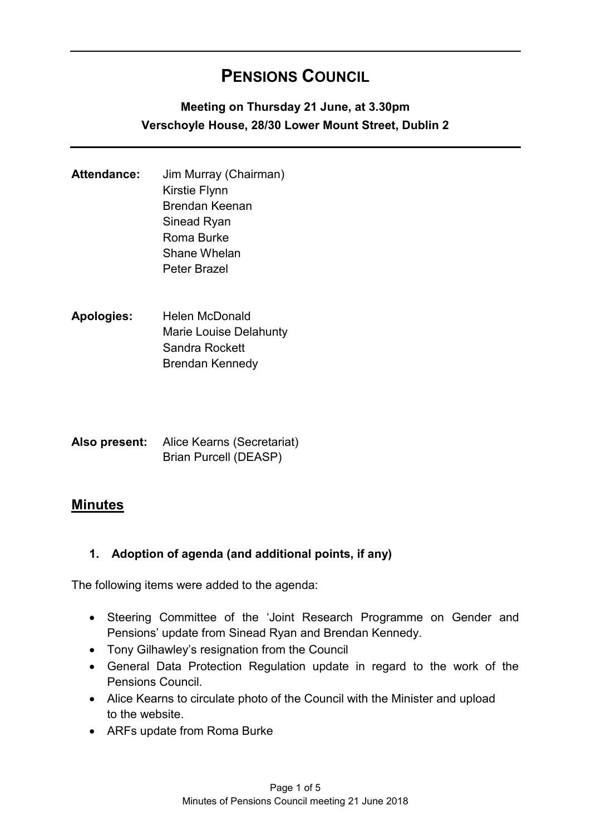# **PENSIONS COUNCIL**

# **Meeting on Thursday 21 June, at 3.30pm Verschoyle House, 28/30 Lower Mount Street, Dublin 2**

- **Attendance:** Jim Murray (Chairman) Kirstie Flynn Brendan Keenan Sinead Ryan Roma Burke Shane Whelan Peter Brazel
- **Apologies:** Helen McDonald Marie Louise Delahunty Sandra Rockett Brendan Kennedy
- **Also present:** Alice Kearns (Secretariat) Brian Purcell (DEASP)

# **Minutes**

## **1. Adoption of agenda (and additional points, if any)**

The following items were added to the agenda:

- Steering Committee of the 'Joint Research Programme on Gender and Pensions' update from Sinead Ryan and Brendan Kennedy.
- Tony Gilhawley's resignation from the Council
- General Data Protection Regulation update in regard to the work of the Pensions Council.
- Alice Kearns to circulate photo of the Council with the Minister and upload to the website.
- ARFs update from Roma Burke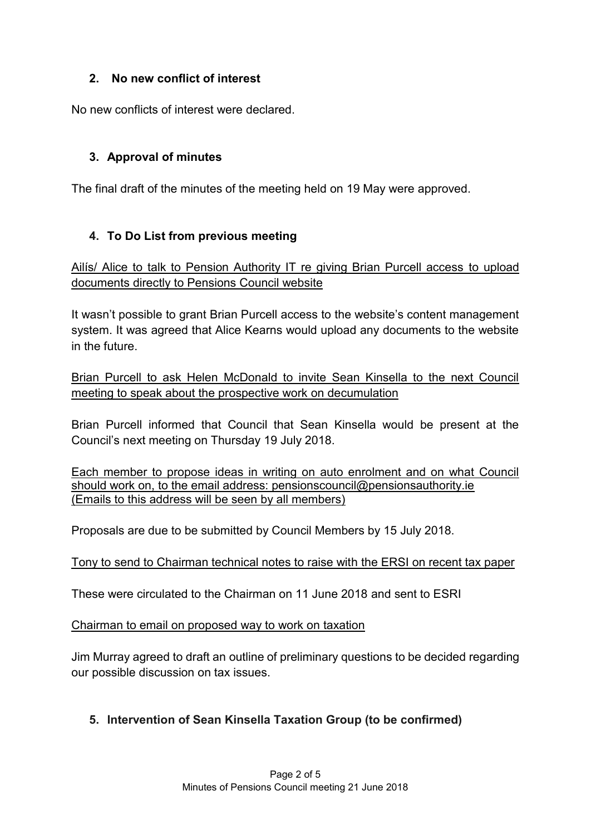# **2. No new conflict of interest**

No new conflicts of interest were declared.

# **3. Approval of minutes**

The final draft of the minutes of the meeting held on 19 May were approved.

# **4. To Do List from previous meeting**

Ailís/ Alice to talk to Pension Authority IT re giving Brian Purcell access to upload documents directly to Pensions Council website

It wasn't possible to grant Brian Purcell access to the website's content management system. It was agreed that Alice Kearns would upload any documents to the website in the future.

Brian Purcell to ask Helen McDonald to invite Sean Kinsella to the next Council meeting to speak about the prospective work on decumulation

Brian Purcell informed that Council that Sean Kinsella would be present at the Council's next meeting on Thursday 19 July 2018.

Each member to propose ideas in writing on auto enrolment and on what Council should work on, to the email address: pensionscouncil@pensionsauthority.ie (Emails to this address will be seen by all members)

Proposals are due to be submitted by Council Members by 15 July 2018.

#### Tony to send to Chairman technical notes to raise with the ERSI on recent tax paper

These were circulated to the Chairman on 11 June 2018 and sent to ESRI

Chairman to email on proposed way to work on taxation

Jim Murray agreed to draft an outline of preliminary questions to be decided regarding our possible discussion on tax issues.

## **5. Intervention of Sean Kinsella Taxation Group (to be confirmed)**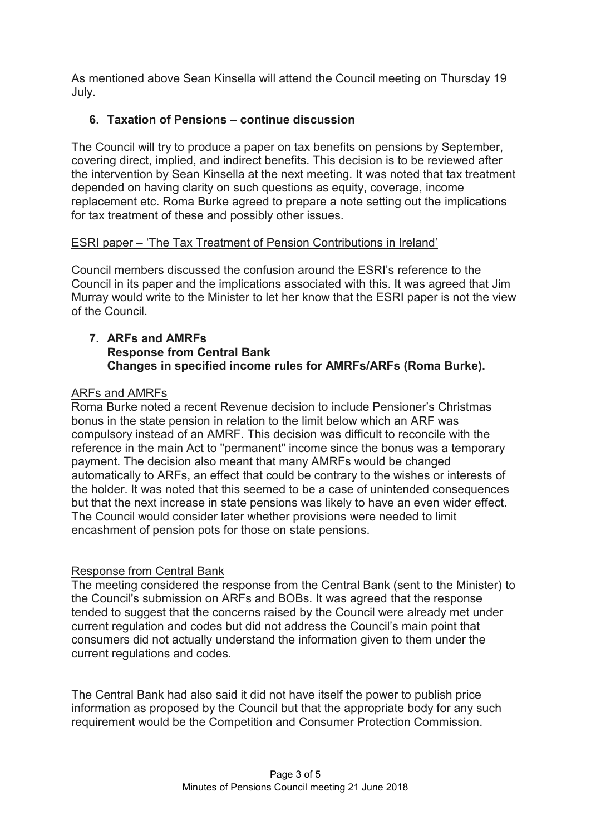As mentioned above Sean Kinsella will attend the Council meeting on Thursday 19 July.

# **6. Taxation of Pensions – continue discussion**

The Council will try to produce a paper on tax benefits on pensions by September, covering direct, implied, and indirect benefits. This decision is to be reviewed after the intervention by Sean Kinsella at the next meeting. It was noted that tax treatment depended on having clarity on such questions as equity, coverage, income replacement etc. Roma Burke agreed to prepare a note setting out the implications for tax treatment of these and possibly other issues.

# ESRI paper – 'The Tax Treatment of Pension Contributions in Ireland'

Council members discussed the confusion around the ESRI's reference to the Council in its paper and the implications associated with this. It was agreed that Jim Murray would write to the Minister to let her know that the ESRI paper is not the view of the Council.

#### **7. ARFs and AMRFs Response from Central Bank Changes in specified income rules for AMRFs/ARFs (Roma Burke).**

# ARFs and AMRFs

Roma Burke noted a recent Revenue decision to include Pensioner's Christmas bonus in the state pension in relation to the limit below which an ARF was compulsory instead of an AMRF. This decision was difficult to reconcile with the reference in the main Act to "permanent" income since the bonus was a temporary payment. The decision also meant that many AMRFs would be changed automatically to ARFs, an effect that could be contrary to the wishes or interests of the holder. It was noted that this seemed to be a case of unintended consequences but that the next increase in state pensions was likely to have an even wider effect. The Council would consider later whether provisions were needed to limit encashment of pension pots for those on state pensions.

## Response from Central Bank

The meeting considered the response from the Central Bank (sent to the Minister) to the Council's submission on ARFs and BOBs. It was agreed that the response tended to suggest that the concerns raised by the Council were already met under current regulation and codes but did not address the Council's main point that consumers did not actually understand the information given to them under the current regulations and codes.

The Central Bank had also said it did not have itself the power to publish price information as proposed by the Council but that the appropriate body for any such requirement would be the Competition and Consumer Protection Commission.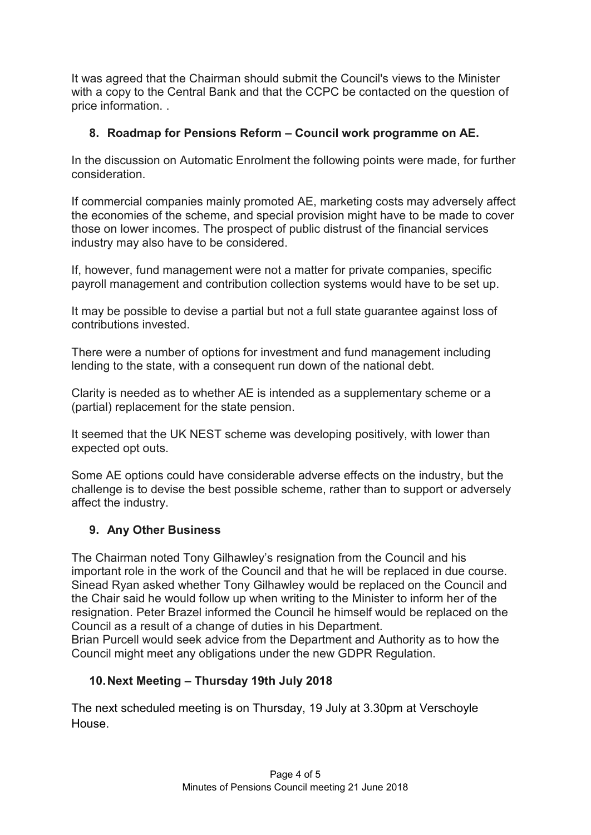It was agreed that the Chairman should submit the Council's views to the Minister with a copy to the Central Bank and that the CCPC be contacted on the question of price information. .

# **8. Roadmap for Pensions Reform – Council work programme on AE.**

In the discussion on Automatic Enrolment the following points were made, for further consideration.

If commercial companies mainly promoted AE, marketing costs may adversely affect the economies of the scheme, and special provision might have to be made to cover those on lower incomes. The prospect of public distrust of the financial services industry may also have to be considered.

If, however, fund management were not a matter for private companies, specific payroll management and contribution collection systems would have to be set up.

It may be possible to devise a partial but not a full state guarantee against loss of contributions invested.

There were a number of options for investment and fund management including lending to the state, with a consequent run down of the national debt.

Clarity is needed as to whether AE is intended as a supplementary scheme or a (partial) replacement for the state pension.

It seemed that the UK NEST scheme was developing positively, with lower than expected opt outs.

Some AE options could have considerable adverse effects on the industry, but the challenge is to devise the best possible scheme, rather than to support or adversely affect the industry.

## **9. Any Other Business**

The Chairman noted Tony Gilhawley's resignation from the Council and his important role in the work of the Council and that he will be replaced in due course. Sinead Ryan asked whether Tony Gilhawley would be replaced on the Council and the Chair said he would follow up when writing to the Minister to inform her of the resignation. Peter Brazel informed the Council he himself would be replaced on the Council as a result of a change of duties in his Department.

Brian Purcell would seek advice from the Department and Authority as to how the Council might meet any obligations under the new GDPR Regulation.

# **10.Next Meeting – Thursday 19th July 2018**

The next scheduled meeting is on Thursday, 19 July at 3.30pm at Verschoyle House.